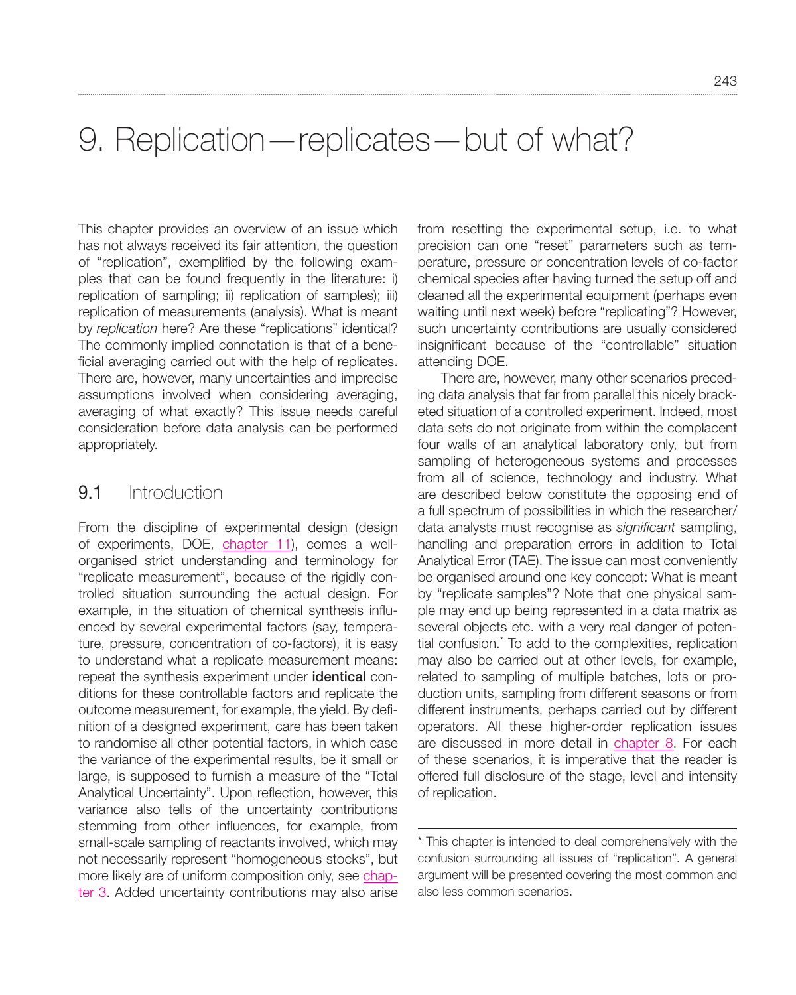# 9. Replication—replicates—but of what?

This chapter provides an overview of an issue which has not always received its fair attention, the question of "replication", exemplified by the following examples that can be found frequently in the literature: i) replication of sampling; ii) replication of samples); iii) replication of measurements (analysis). What is meant by *replication* here? Are these "replications" identical? The commonly implied connotation is that of a beneficial averaging carried out with the help of replicates. There are, however, many uncertainties and imprecise assumptions involved when considering averaging, averaging of what exactly? This issue needs careful consideration before data analysis can be performed appropriately.

### 9.1 Introduction

From the discipline of experimental design (design of experiments, DOE, chapter 11), comes a wellorganised strict understanding and terminology for "replicate measurement", because of the rigidly controlled situation surrounding the actual design. For example, in the situation of chemical synthesis influenced by several experimental factors (say, temperature, pressure, concentration of co-factors), it is easy to understand what a replicate measurement means: repeat the synthesis experiment under **identical** conditions for these controllable factors and replicate the outcome measurement, for example, the yield. By definition of a designed experiment, care has been taken to randomise all other potential factors, in which case the variance of the experimental results, be it small or large, is supposed to furnish a measure of the "Total Analytical Uncertainty". Upon reflection, however, this variance also tells of the uncertainty contributions stemming from other influences, for example, from small-scale sampling of reactants involved, which may not necessarily represent "homogeneous stocks", but more likely are of uniform composition only, see chapter 3. Added uncertainty contributions may also arise from resetting the experimental setup, i.e. to what precision can one "reset" parameters such as temperature, pressure or concentration levels of co-factor chemical species after having turned the setup off and cleaned all the experimental equipment (perhaps even waiting until next week) before "replicating"? However, such uncertainty contributions are usually considered insignificant because of the "controllable" situation attending DOE.

There are, however, many other scenarios preceding data analysis that far from parallel this nicely bracketed situation of a controlled experiment. Indeed, most data sets do not originate from within the complacent four walls of an analytical laboratory only, but from sampling of heterogeneous systems and processes from all of science, technology and industry. What are described below constitute the opposing end of a full spectrum of possibilities in which the researcher/ data analysts must recognise as *significant* sampling, handling and preparation errors in addition to Total Analytical Error (TAE). The issue can most conveniently be organised around one key concept: What is meant by "replicate samples"? Note that one physical sample may end up being represented in a data matrix as several objects etc. with a very real danger of potential confusion.\* To add to the complexities, replication may also be carried out at other levels, for example, related to sampling of multiple batches, lots or production units, sampling from different seasons or from different instruments, perhaps carried out by different operators. All these higher-order replication issues are discussed in more detail in chapter 8. For each of these scenarios, it is imperative that the reader is offered full disclosure of the stage, level and intensity of replication.

<sup>\*</sup> This chapter is intended to deal comprehensively with the confusion surrounding all issues of "replication". A general argument will be presented covering the most common and also less common scenarios.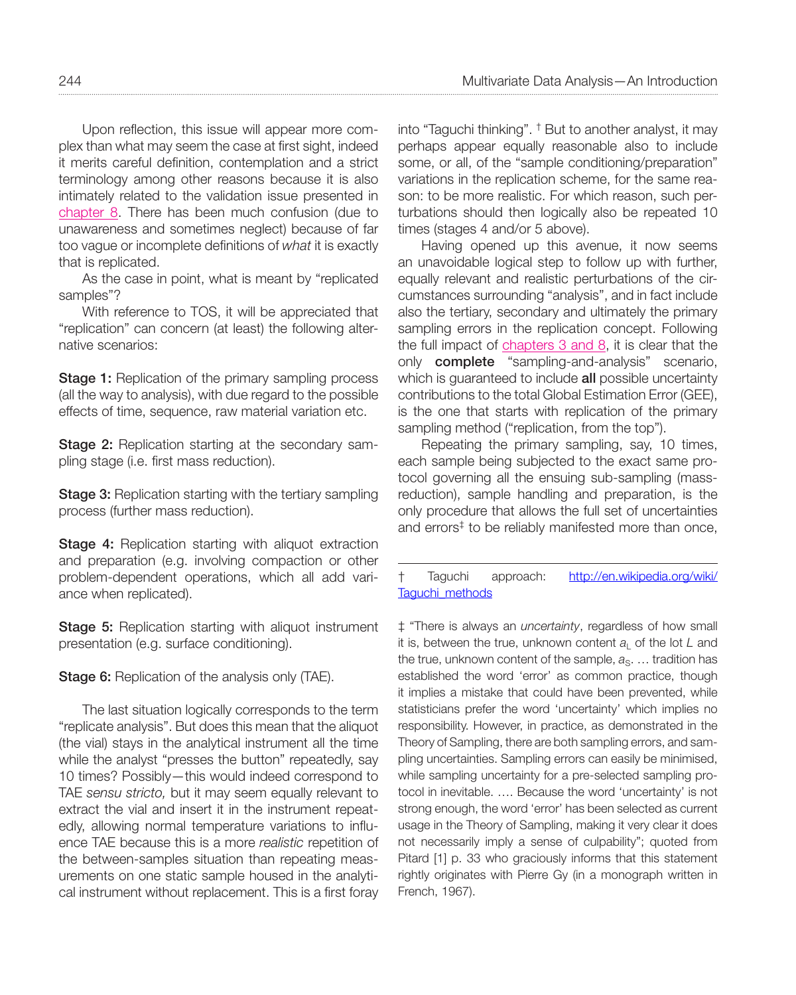Upon reflection, this issue will appear more complex than what may seem the case at first sight, indeed it merits careful definition, contemplation and a strict terminology among other reasons because it is also intimately related to the validation issue presented in chapter 8. There has been much confusion (due to unawareness and sometimes neglect) because of far too vague or incomplete definitions of *what* it is exactly that is replicated.

As the case in point, what is meant by "replicated samples"?

With reference to TOS, it will be appreciated that "replication" can concern (at least) the following alternative scenarios:

**Stage 1:** Replication of the primary sampling process (all the way to analysis), with due regard to the possible effects of time, sequence, raw material variation etc.

Stage 2: Replication starting at the secondary sampling stage (i.e. first mass reduction).

**Stage 3:** Replication starting with the tertiary sampling process (further mass reduction).

**Stage 4:** Replication starting with aliquot extraction and preparation (e.g. involving compaction or other problem-dependent operations, which all add variance when replicated).

**Stage 5:** Replication starting with aliquot instrument presentation (e.g. surface conditioning).

**Stage 6:** Replication of the analysis only (TAE).

The last situation logically corresponds to the term "replicate analysis". But does this mean that the aliquot (the vial) stays in the analytical instrument all the time while the analyst "presses the button" repeatedly, say 10 times? Possibly—this would indeed correspond to TAE *sensu stricto,* but it may seem equally relevant to extract the vial and insert it in the instrument repeatedly, allowing normal temperature variations to influence TAE because this is a more *realistic* repetition of the between-samples situation than repeating measurements on one static sample housed in the analytical instrument without replacement. This is a first foray

into "Taguchi thinking". † But to another analyst, it may perhaps appear equally reasonable also to include some, or all, of the "sample conditioning/preparation" variations in the replication scheme, for the same reason: to be more realistic. For which reason, such perturbations should then logically also be repeated 10 times (stages 4 and/or 5 above).

Having opened up this avenue, it now seems an unavoidable logical step to follow up with further, equally relevant and realistic perturbations of the circumstances surrounding "analysis", and in fact include also the tertiary, secondary and ultimately the primary sampling errors in the replication concept. Following the full impact of chapters 3 and 8, it is clear that the only complete "sampling-and-analysis" scenario, which is quaranteed to include all possible uncertainty contributions to the total Global Estimation Error (GEE), is the one that starts with replication of the primary sampling method ("replication, from the top").

Repeating the primary sampling, say, 10 times, each sample being subjected to the exact same protocol governing all the ensuing sub-sampling (massreduction), sample handling and preparation, is the only procedure that allows the full set of uncertainties and errors<sup>‡</sup> to be reliably manifested more than once,

† Taguchi approach: [http://en.wikipedia.org/wiki/](http://en.wikipedia.org/wiki/Taguchi_methods) [Taguchi\\_methods](http://en.wikipedia.org/wiki/Taguchi_methods)

‡ "There is always an *uncertainty*, regardless of how small it is, between the true, unknown content  $a<sub>1</sub>$  of the lot *L* and the true, unknown content of the sample,  $a_{\rm S}$ . ... tradition has established the word 'error' as common practice, though it implies a mistake that could have been prevented, while statisticians prefer the word 'uncertainty' which implies no responsibility. However, in practice, as demonstrated in the Theory of Sampling, there are both sampling errors, and sampling uncertainties. Sampling errors can easily be minimised, while sampling uncertainty for a pre-selected sampling protocol in inevitable. …. Because the word 'uncertainty' is not strong enough, the word 'error' has been selected as current usage in the Theory of Sampling, making it very clear it does not necessarily imply a sense of culpability"; quoted from Pitard [1] p. 33 who graciously informs that this statement rightly originates with Pierre Gy (in a monograph written in French, 1967).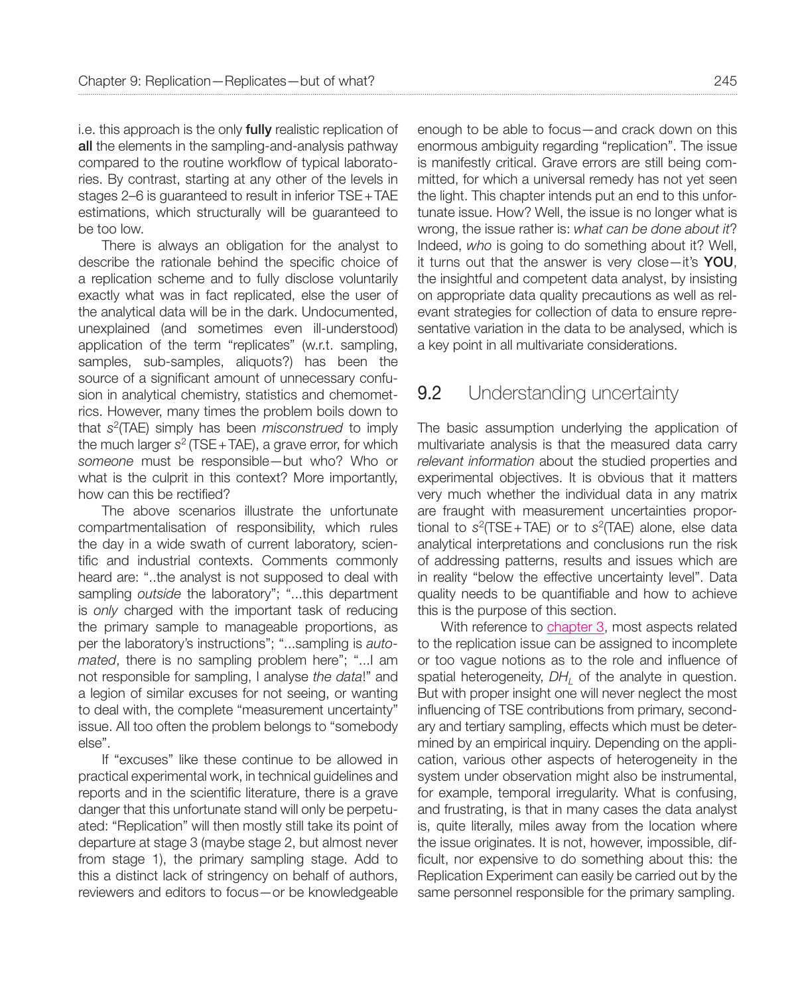i.e. this approach is the only **fully** realistic replication of all the elements in the sampling-and-analysis pathway compared to the routine workflow of typical laboratories. By contrast, starting at any other of the levels in stages 2–6 is guaranteed to result in inferior TSE+TAE estimations, which structurally will be guaranteed to be too low.

There is always an obligation for the analyst to describe the rationale behind the specific choice of a replication scheme and to fully disclose voluntarily exactly what was in fact replicated, else the user of the analytical data will be in the dark. Undocumented, unexplained (and sometimes even ill-understood) application of the term "replicates" (w.r.t. sampling, samples, sub-samples, aliquots?) has been the source of a significant amount of unnecessary confusion in analytical chemistry, statistics and chemometrics. However, many times the problem boils down to that *s*2(TAE) simply has been *misconstrued* to imply the much larger *s*2 (TSE+TAE), a grave error, for which *someone* must be responsible—but who? Who or what is the culprit in this context? More importantly, how can this be rectified?

The above scenarios illustrate the unfortunate compartmentalisation of responsibility, which rules the day in a wide swath of current laboratory, scientific and industrial contexts. Comments commonly heard are: "..the analyst is not supposed to deal with sampling *outside* the laboratory"; "...this department is *only* charged with the important task of reducing the primary sample to manageable proportions, as per the laboratory's instructions"; "...sampling is *automated*, there is no sampling problem here"; "...I am not responsible for sampling, I analyse *the data*!" and a legion of similar excuses for not seeing, or wanting to deal with, the complete "measurement uncertainty" issue. All too often the problem belongs to "somebody else".

If "excuses" like these continue to be allowed in practical experimental work, in technical guidelines and reports and in the scientific literature, there is a grave danger that this unfortunate stand will only be perpetuated: "Replication" will then mostly still take its point of departure at stage 3 (maybe stage 2, but almost never from stage 1), the primary sampling stage. Add to this a distinct lack of stringency on behalf of authors, reviewers and editors to focus—or be knowledgeable enough to be able to focus—and crack down on this enormous ambiguity regarding "replication". The issue is manifestly critical. Grave errors are still being committed, for which a universal remedy has not yet seen the light. This chapter intends put an end to this unfortunate issue. How? Well, the issue is no longer what is wrong, the issue rather is: *what can be done about it*? Indeed, *who* is going to do something about it? Well, it turns out that the answer is very close—it's YOU, the insightful and competent data analyst, by insisting on appropriate data quality precautions as well as relevant strategies for collection of data to ensure representative variation in the data to be analysed, which is a key point in all multivariate considerations.

#### **9.2** Understanding uncertainty

The basic assumption underlying the application of multivariate analysis is that the measured data carry *relevant information* about the studied properties and experimental objectives. It is obvious that it matters very much whether the individual data in any matrix are fraught with measurement uncertainties proportional to *s*2(TSE+TAE) or to *s*2(TAE) alone, else data analytical interpretations and conclusions run the risk of addressing patterns, results and issues which are in reality "below the effective uncertainty level". Data quality needs to be quantifiable and how to achieve this is the purpose of this section.

With reference to chapter 3, most aspects related to the replication issue can be assigned to incomplete or too vague notions as to the role and influence of spatial heterogeneity, *DH*<sub>1</sub> of the analyte in question. But with proper insight one will never neglect the most influencing of TSE contributions from primary, secondary and tertiary sampling, effects which must be determined by an empirical inquiry. Depending on the application, various other aspects of heterogeneity in the system under observation might also be instrumental, for example, temporal irregularity. What is confusing, and frustrating, is that in many cases the data analyst is, quite literally, miles away from the location where the issue originates. It is not, however, impossible, difficult, nor expensive to do something about this: the Replication Experiment can easily be carried out by the same personnel responsible for the primary sampling.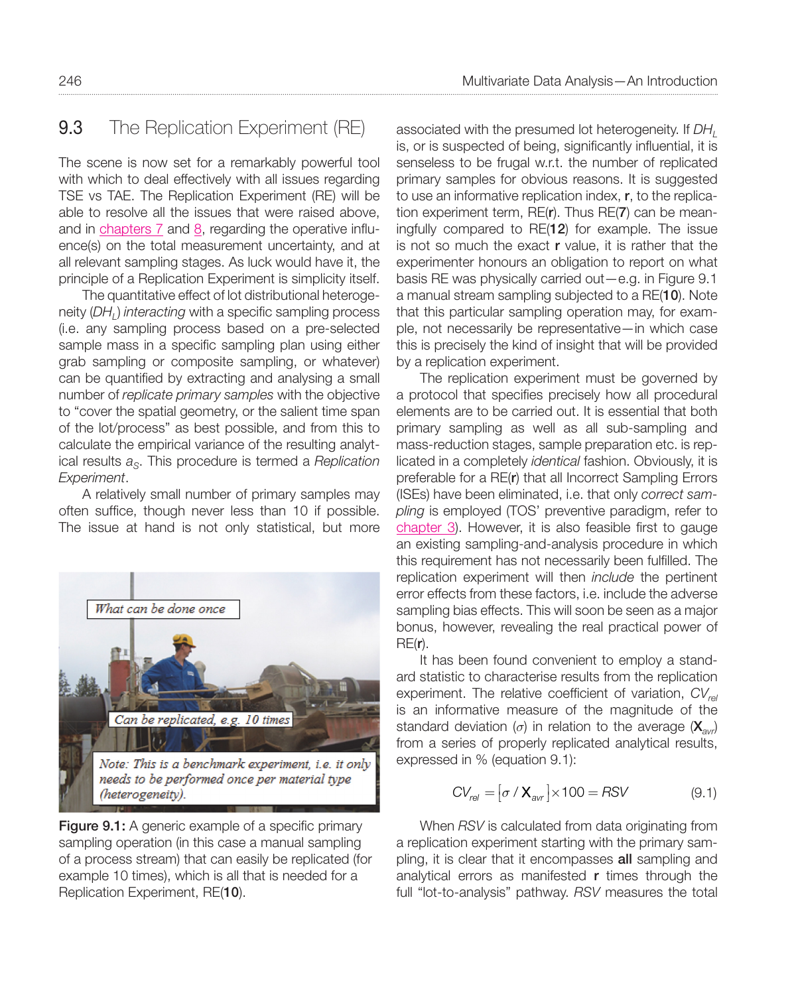# 9.3 The Replication Experiment (RE)

The scene is now set for a remarkably powerful tool with which to deal effectively with all issues regarding TSE vs TAE. The Replication Experiment (RE) will be able to resolve all the issues that were raised above, and in chapters 7 and 8, regarding the operative influence(s) on the total measurement uncertainty, and at all relevant sampling stages. As luck would have it, the principle of a Replication Experiment is simplicity itself.

The quantitative effect of lot distributional heterogeneity (*DHL*) *interacting* with a specific sampling process (i.e. any sampling process based on a pre-selected sample mass in a specific sampling plan using either grab sampling or composite sampling, or whatever) can be quantified by extracting and analysing a small number of *replicate primary samples* with the objective to "cover the spatial geometry, or the salient time span of the lot/process" as best possible, and from this to calculate the empirical variance of the resulting analytical results  $a<sub>S</sub>$ . This procedure is termed a *Replication Experiment*.

A relatively small number of primary samples may often suffice, though never less than 10 if possible. The issue at hand is not only statistical, but more



**Figure 9.1:** A generic example of a specific primary sampling operation (in this case a manual sampling of a process stream) that can easily be replicated (for example 10 times), which is all that is needed for a Replication Experiment, RE(10).

associated with the presumed lot heterogeneity. If *DH*<sub>L</sub> is, or is suspected of being, significantly influential, it is senseless to be frugal w.r.t. the number of replicated primary samples for obvious reasons. It is suggested to use an informative replication index, r, to the replication experiment term, RE(r). Thus RE(7) can be meaningfully compared to RE(12) for example. The issue is not so much the exact r value, it is rather that the experimenter honours an obligation to report on what basis RE was physically carried out—e.g. in Figure 9.1 a manual stream sampling subjected to a RE(10). Note that this particular sampling operation may, for example, not necessarily be representative—in which case this is precisely the kind of insight that will be provided by a replication experiment.

The replication experiment must be governed by a protocol that specifies precisely how all procedural elements are to be carried out. It is essential that both primary sampling as well as all sub-sampling and mass-reduction stages, sample preparation etc. is replicated in a completely *identical* fashion. Obviously, it is preferable for a RE(r) that all Incorrect Sampling Errors (ISEs) have been eliminated, i.e. that only *correct sampling* is employed (TOS' preventive paradigm, refer to chapter 3). However, it is also feasible first to gauge an existing sampling-and-analysis procedure in which this requirement has not necessarily been fulfilled. The replication experiment will then *include* the pertinent error effects from these factors, i.e. include the adverse sampling bias effects. This will soon be seen as a major bonus, however, revealing the real practical power of RE(r).

It has been found convenient to employ a standard statistic to characterise results from the replication experiment. The relative coefficient of variation,  $CV_{rel}$ is an informative measure of the magnitude of the standard deviation ( $\sigma$ ) in relation to the average ( $\mathbf{X}_{avr}$ ) from a series of properly replicated analytical results, expressed in % (equation 9.1):

$$
CV_{rel} = [\sigma / X_{avr}] \times 100 = RSV
$$
 (9.1)

When *RSV* is calculated from data originating from a replication experiment starting with the primary sampling, it is clear that it encompasses all sampling and analytical errors as manifested r times through the full "lot-to-analysis" pathway. *RSV* measures the total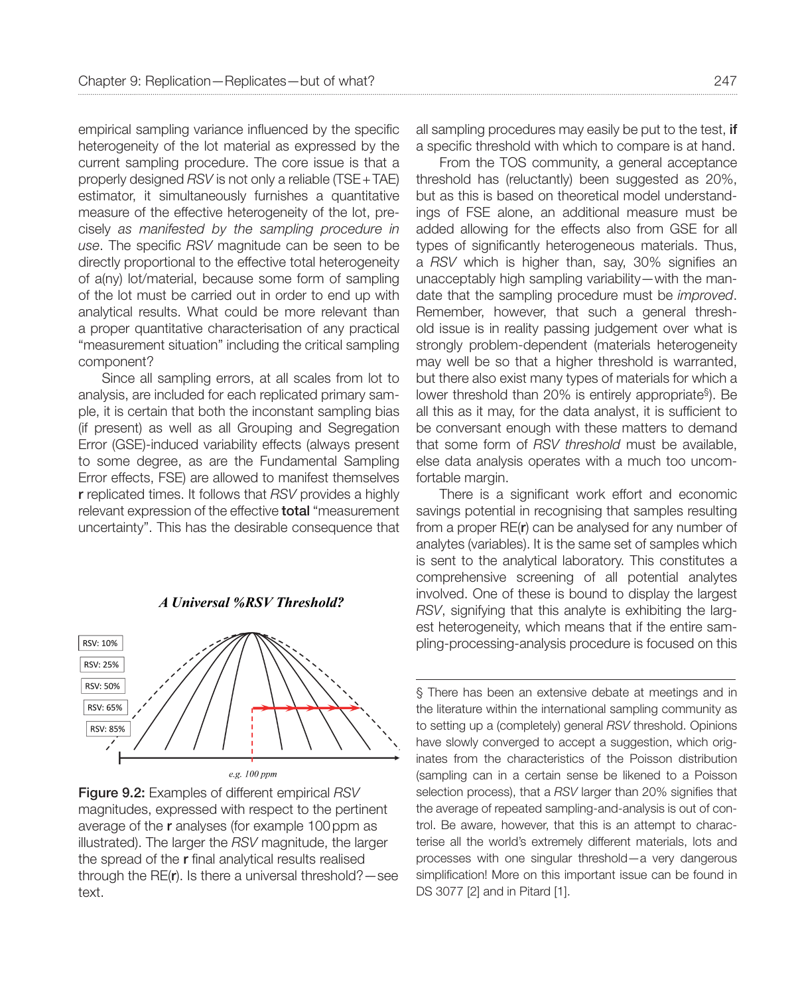empirical sampling variance influenced by the specific heterogeneity of the lot material as expressed by the current sampling procedure. The core issue is that a properly designed *RSV* is not only a reliable (TSE+TAE) estimator, it simultaneously furnishes a quantitative measure of the effective heterogeneity of the lot, precisely *as manifested by the sampling procedure in use*. The specific *RSV* magnitude can be seen to be directly proportional to the effective total heterogeneity of a(ny) lot/material, because some form of sampling of the lot must be carried out in order to end up with analytical results. What could be more relevant than a proper quantitative characterisation of any practical "measurement situation" including the critical sampling component?

Since all sampling errors, at all scales from lot to analysis, are included for each replicated primary sample, it is certain that both the inconstant sampling bias (if present) as well as all Grouping and Segregation Error (GSE)-induced variability effects (always present to some degree, as are the Fundamental Sampling Error effects, FSE) are allowed to manifest themselves r replicated times. It follows that *RSV* provides a highly relevant expression of the effective **total** "measurement uncertainty". This has the desirable consequence that



**A Universal %RSV Threshold?** 

Figure 9.2: Examples of different empirical *RSV* magnitudes, expressed with respect to the pertinent average of the r analyses (for example 100ppm as illustrated). The larger the *RSV* magnitude, the larger the spread of the r final analytical results realised through the RE(r). Is there a universal threshold?—see text.

all sampling procedures may easily be put to the test, if a specific threshold with which to compare is at hand.

From the TOS community, a general acceptance threshold has (reluctantly) been suggested as 20%, but as this is based on theoretical model understandings of FSE alone, an additional measure must be added allowing for the effects also from GSE for all types of significantly heterogeneous materials. Thus, a *RSV* which is higher than, say, 30% signifies an unacceptably high sampling variability—with the mandate that the sampling procedure must be *improved*. Remember, however, that such a general threshold issue is in reality passing judgement over what is strongly problem-dependent (materials heterogeneity may well be so that a higher threshold is warranted, but there also exist many types of materials for which a lower threshold than 20% is entirely appropriate§). Be all this as it may, for the data analyst, it is sufficient to be conversant enough with these matters to demand that some form of *RSV threshold* must be available, else data analysis operates with a much too uncomfortable margin.

There is a significant work effort and economic savings potential in recognising that samples resulting from a proper RE(r) can be analysed for any number of analytes (variables). It is the same set of samples which is sent to the analytical laboratory. This constitutes a comprehensive screening of all potential analytes involved. One of these is bound to display the largest *RSV*, signifying that this analyte is exhibiting the largest heterogeneity, which means that if the entire sampling-processing-analysis procedure is focused on this

§ There has been an extensive debate at meetings and in the literature within the international sampling community as to setting up a (completely) general *RSV* threshold. Opinions have slowly converged to accept a suggestion, which originates from the characteristics of the Poisson distribution (sampling can in a certain sense be likened to a Poisson selection process), that a *RSV* larger than 20% signifies that the average of repeated sampling-and-analysis is out of control. Be aware, however, that this is an attempt to characterise all the world's extremely different materials, lots and processes with one singular threshold—a very dangerous simplification! More on this important issue can be found in DS 3077 [2] and in Pitard [1].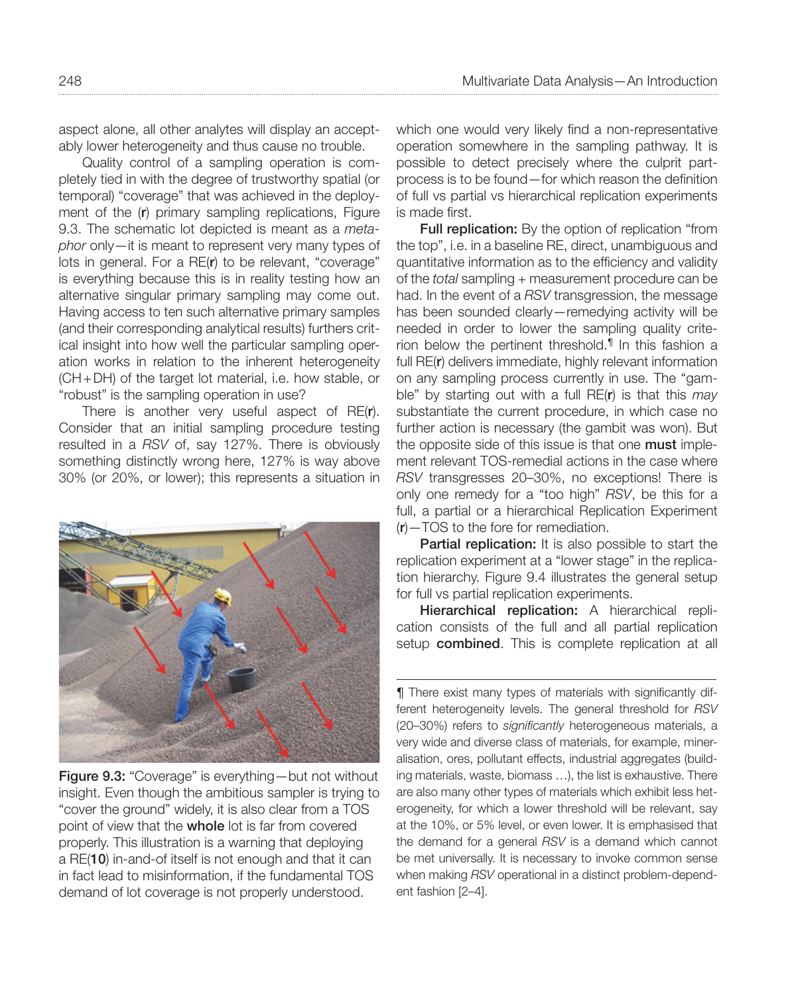aspect alone, all other analytes will display an acceptably lower heterogeneity and thus cause no trouble.

Quality control of a sampling operation is completely tied in with the degree of trustworthy spatial (or temporal) "coverage" that was achieved in the deployment of the (r) primary sampling replications, Figure 9.3. The schematic lot depicted is meant as a *metaphor* only—it is meant to represent very many types of lots in general. For a RE(r) to be relevant, "coverage" is everything because this is in reality testing how an alternative singular primary sampling may come out. Having access to ten such alternative primary samples (and their corresponding analytical results) furthers critical insight into how well the particular sampling operation works in relation to the inherent heterogeneity (CH+DH) of the target lot material, i.e. how stable, or "robust" is the sampling operation in use?

There is another very useful aspect of RE(r). Consider that an initial sampling procedure testing resulted in a *RSV* of, say 127%. There is obviously something distinctly wrong here, 127% is way above 30% (or 20%, or lower); this represents a situation in



Figure 9.3: "Coverage" is everything—but not without insight. Even though the ambitious sampler is trying to "cover the ground" widely, it is also clear from a TOS point of view that the **whole** lot is far from covered properly. This illustration is a warning that deploying a RE(10) in-and-of itself is not enough and that it can in fact lead to misinformation, if the fundamental TOS demand of lot coverage is not properly understood.

which one would very likely find a non-representative operation somewhere in the sampling pathway. It is possible to detect precisely where the culprit partprocess is to be found—for which reason the definition of full vs partial vs hierarchical replication experiments is made first.

**Full replication:** By the option of replication "from the top", i.e. in a baseline RE, direct, unambiguous and quantitative information as to the efficiency and validity of the *total* sampling + measurement procedure can be had. In the event of a *RSV* transgression, the message has been sounded clearly—remedying activity will be needed in order to lower the sampling quality criterion below the pertinent threshold.¶ In this fashion a full RE(r) delivers immediate, highly relevant information on any sampling process currently in use. The "gamble" by starting out with a full RE(r) is that this *may* substantiate the current procedure, in which case no further action is necessary (the gambit was won). But the opposite side of this issue is that one **must** implement relevant TOS-remedial actions in the case where *RSV* transgresses 20–30%, no exceptions! There is only one remedy for a "too high" *RSV*, be this for a full, a partial or a hierarchical Replication Experiment (r)—TOS to the fore for remediation.

Partial replication: It is also possible to start the replication experiment at a "lower stage" in the replication hierarchy. Figure 9.4 illustrates the general setup for full vs partial replication experiments.

Hierarchical replication: A hierarchical replication consists of the full and all partial replication setup **combined**. This is complete replication at all

¶ There exist many types of materials with significantly different heterogeneity levels. The general threshold for *RSV* (20–30%) refers to *significantly* heterogeneous materials, a very wide and diverse class of materials, for example, mineralisation, ores, pollutant effects, industrial aggregates (building materials, waste, biomass …), the list is exhaustive. There are also many other types of materials which exhibit less heterogeneity, for which a lower threshold will be relevant, say at the 10%, or 5% level, or even lower. It is emphasised that the demand for a general *RSV* is a demand which cannot be met universally. It is necessary to invoke common sense when making *RSV* operational in a distinct problem-dependent fashion [2–4].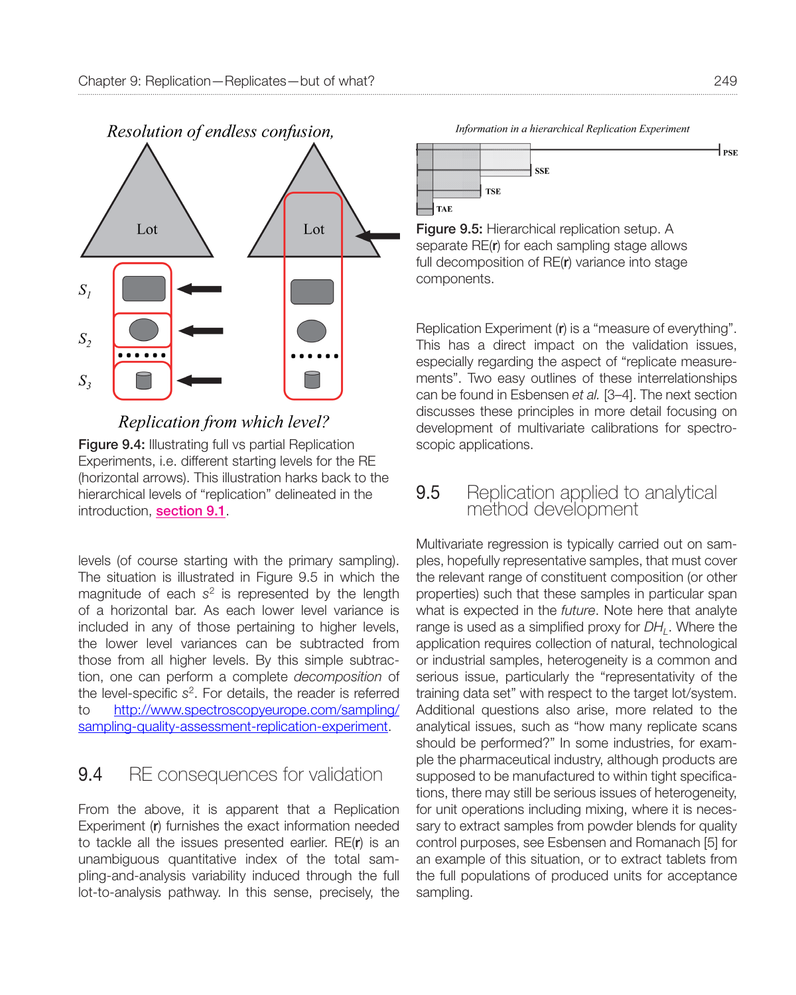

#### Replication from which level?

Figure 9.4: Illustrating full vs partial Replication Experiments, i.e. different starting levels for the RE (horizontal arrows). This illustration harks back to the hierarchical levels of "replication" delineated in the introduction, section 9.1.

levels (of course starting with the primary sampling). The situation is illustrated in Figure 9.5 in which the magnitude of each *s*2 is represented by the length of a horizontal bar. As each lower level variance is included in any of those pertaining to higher levels, the lower level variances can be subtracted from those from all higher levels. By this simple subtraction, one can perform a complete *decomposition* of the level-specific *s*2. For details, the read[er is referred](http://www.spectroscopyeurope.com/sampling/sampling-quality-assessment-replication-experiment) [to http://www.spectroscopyeurope.com/sampling/](http://www.spectroscopyeurope.com/sampling/sampling-quality-assessment-replication-experiment) [sampling-quality-assessment-repli](http://www.spectroscopyeurope.com/sampling/sampling-quality-assessment-replication-experiment)cation-experiment.

# 9.4 RE consequences for validation

From the above, it is apparent that a Replication Experiment (r) furnishes the exact information needed to tackle all the issues presented earlier. RE(r) is an unambiguous quantitative index of the total sampling-and-analysis variability induced through the full lot-to-analysis pathway. In this sense, precisely, the

Information in a hierarchical Replication Experiment



Figure 9.5: Hierarchical replication setup. A separate RE(r) for each sampling stage allows full decomposition of RE(r) variance into stage components.

Replication Experiment (r) is a "measure of everything". This has a direct impact on the validation issues, especially regarding the aspect of "replicate measurements". Two easy outlines of these interrelationships can be found in Esbensen *et al.* [3–4]. The next section discusses these principles in more detail focusing on development of multivariate calibrations for spectroscopic applications.

#### **9.5** Replication applied to analytical method development

Multivariate regression is typically carried out on samples, hopefully representative samples, that must cover the relevant range of constituent composition (or other properties) such that these samples in particular span what is expected in the *future*. Note here that analyte range is used as a simplified proxy for  $DH$ . Where the application requires collection of natural, technological or industrial samples, heterogeneity is a common and serious issue, particularly the "representativity of the training data set" with respect to the target lot/system. Additional questions also arise, more related to the analytical issues, such as "how many replicate scans should be performed?" In some industries, for example the pharmaceutical industry, although products are supposed to be manufactured to within tight specifications, there may still be serious issues of heterogeneity, for unit operations including mixing, where it is necessary to extract samples from powder blends for quality control purposes, see Esbensen and Romanach [5] for an example of this situation, or to extract tablets from the full populations of produced units for acceptance sampling.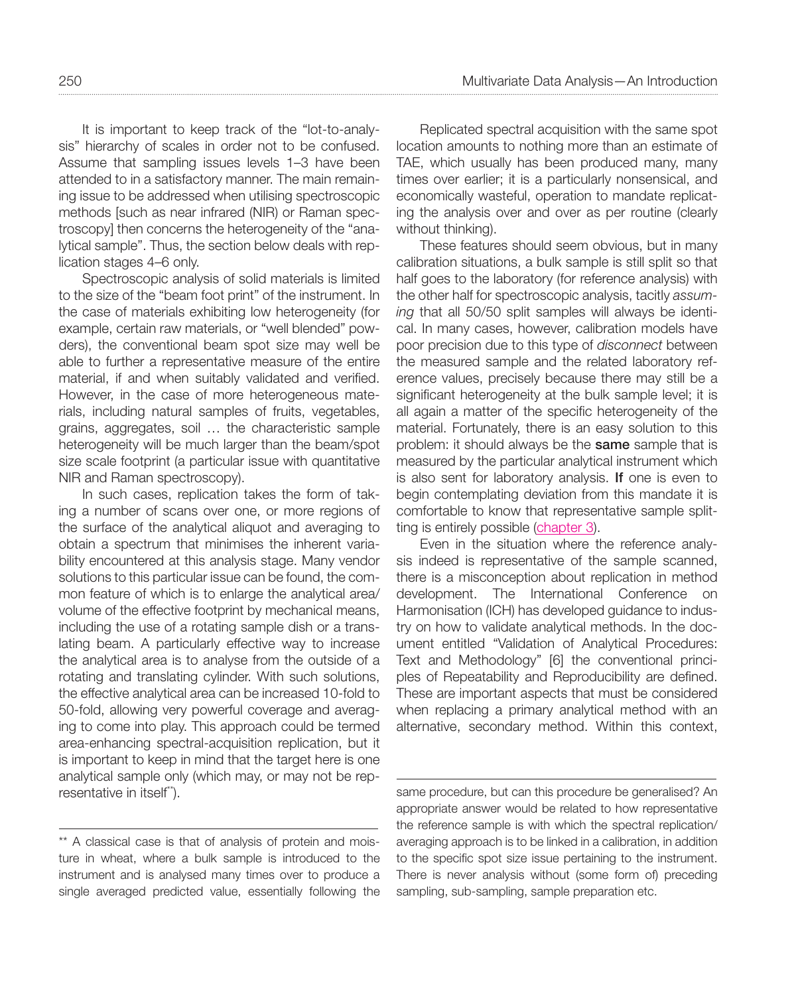It is important to keep track of the "lot-to-analysis" hierarchy of scales in order not to be confused. Assume that sampling issues levels 1–3 have been attended to in a satisfactory manner. The main remaining issue to be addressed when utilising spectroscopic methods [such as near infrared (NIR) or Raman spectroscopy] then concerns the heterogeneity of the "analytical sample". Thus, the section below deals with replication stages 4–6 only.

Spectroscopic analysis of solid materials is limited to the size of the "beam foot print" of the instrument. In the case of materials exhibiting low heterogeneity (for example, certain raw materials, or "well blended" powders), the conventional beam spot size may well be able to further a representative measure of the entire material, if and when suitably validated and verified. However, in the case of more heterogeneous materials, including natural samples of fruits, vegetables, grains, aggregates, soil … the characteristic sample heterogeneity will be much larger than the beam/spot size scale footprint (a particular issue with quantitative NIR and Raman spectroscopy).

In such cases, replication takes the form of taking a number of scans over one, or more regions of the surface of the analytical aliquot and averaging to obtain a spectrum that minimises the inherent variability encountered at this analysis stage. Many vendor solutions to this particular issue can be found, the common feature of which is to enlarge the analytical area/ volume of the effective footprint by mechanical means, including the use of a rotating sample dish or a translating beam. A particularly effective way to increase the analytical area is to analyse from the outside of a rotating and translating cylinder. With such solutions, the effective analytical area can be increased 10-fold to 50-fold, allowing very powerful coverage and averaging to come into play. This approach could be termed area-enhancing spectral-acquisition replication, but it is important to keep in mind that the target here is one analytical sample only (which may, or may not be representative in itself\*\*).

\*\* A classical case is that of analysis of protein and moisture in wheat, where a bulk sample is introduced to the instrument and is analysed many times over to produce a single averaged predicted value, essentially following the

Replicated spectral acquisition with the same spot location amounts to nothing more than an estimate of TAE, which usually has been produced many, many times over earlier; it is a particularly nonsensical, and economically wasteful, operation to mandate replicating the analysis over and over as per routine (clearly without thinking).

These features should seem obvious, but in many calibration situations, a bulk sample is still split so that half goes to the laboratory (for reference analysis) with the other half for spectroscopic analysis, tacitly *assuming* that all 50/50 split samples will always be identical. In many cases, however, calibration models have poor precision due to this type of *disconnect* between the measured sample and the related laboratory reference values, precisely because there may still be a significant heterogeneity at the bulk sample level; it is all again a matter of the specific heterogeneity of the material. Fortunately, there is an easy solution to this problem: it should always be the same sample that is measured by the particular analytical instrument which is also sent for laboratory analysis. If one is even to begin contemplating deviation from this mandate it is comfortable to know that representative sample splitting is entirely possible (chapter 3).

Even in the situation where the reference analysis indeed is representative of the sample scanned, there is a misconception about replication in method development. The International Conference on Harmonisation (ICH) has developed guidance to industry on how to validate analytical methods. In the document entitled "Validation of Analytical Procedures: Text and Methodology" [6] the conventional principles of Repeatability and Reproducibility are defined. These are important aspects that must be considered when replacing a primary analytical method with an alternative, secondary method. Within this context,

same procedure, but can this procedure be generalised? An appropriate answer would be related to how representative the reference sample is with which the spectral replication/ averaging approach is to be linked in a calibration, in addition to the specific spot size issue pertaining to the instrument. There is never analysis without (some form of) preceding sampling, sub-sampling, sample preparation etc.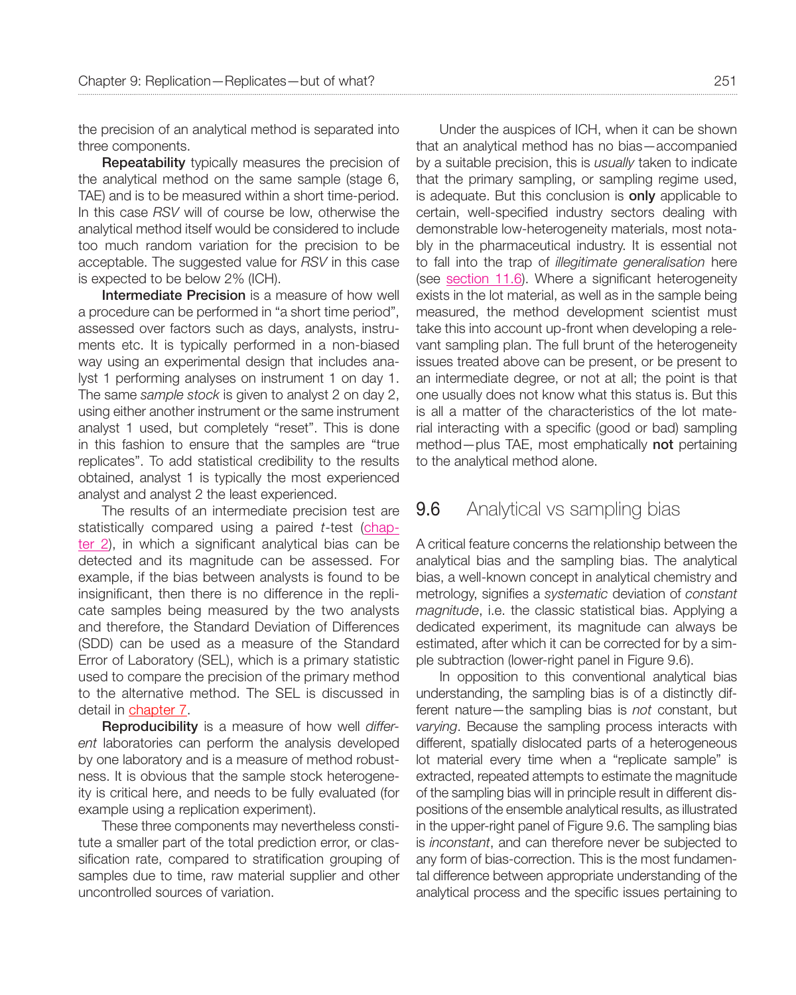the precision of an analytical method is separated into three components.

**Repeatability** typically measures the precision of the analytical method on the same sample (stage 6, TAE) and is to be measured within a short time-period. In this case *RSV* will of course be low, otherwise the analytical method itself would be considered to include too much random variation for the precision to be acceptable. The suggested value for *RSV* in this case is expected to be below 2% (ICH).

Intermediate Precision is a measure of how well a procedure can be performed in "a short time period", assessed over factors such as days, analysts, instruments etc. It is typically performed in a non-biased way using an experimental design that includes analyst 1 performing analyses on instrument 1 on day 1. The same *sample stock* is given to analyst 2 on day 2, using either another instrument or the same instrument analyst 1 used, but completely "reset". This is done in this fashion to ensure that the samples are "true replicates". To add statistical credibility to the results obtained, analyst 1 is typically the most experienced analyst and analyst 2 the least experienced.

The results of an intermediate precision test are statistically compared using a paired *t*-test (chapter 2), in which a significant analytical bias can be detected and its magnitude can be assessed. For example, if the bias between analysts is found to be insignificant, then there is no difference in the replicate samples being measured by the two analysts and therefore, the Standard Deviation of Differences (SDD) can be used as a measure of the Standard Error of Laboratory (SEL), which is a primary statistic used to compare the precision of the primary method to the alternative method. The SEL is discussed in detail in chapter 7.

Reproducibility is a measure of how well *different* laboratories can perform the analysis developed by one laboratory and is a measure of method robustness. It is obvious that the sample stock heterogeneity is critical here, and needs to be fully evaluated (for example using a replication experiment).

These three components may nevertheless constitute a smaller part of the total prediction error, or classification rate, compared to stratification grouping of samples due to time, raw material supplier and other uncontrolled sources of variation.

Under the auspices of ICH, when it can be shown that an analytical method has no bias—accompanied by a suitable precision, this is *usually* taken to indicate that the primary sampling, or sampling regime used, is adequate. But this conclusion is **only** applicable to certain, well-specified industry sectors dealing with demonstrable low-heterogeneity materials, most notably in the pharmaceutical industry. It is essential not to fall into the trap of *illegitimate generalisation* here (see section 11.6). Where a significant heterogeneity exists in the lot material, as well as in the sample being measured, the method development scientist must take this into account up-front when developing a relevant sampling plan. The full brunt of the heterogeneity issues treated above can be present, or be present to an intermediate degree, or not at all; the point is that one usually does not know what this status is. But this is all a matter of the characteristics of the lot material interacting with a specific (good or bad) sampling method—plus TAE, most emphatically not pertaining to the analytical method alone.

#### **9.6** Analytical vs sampling bias

A critical feature concerns the relationship between the analytical bias and the sampling bias. The analytical bias, a well-known concept in analytical chemistry and metrology, signifies a *systematic* deviation of *constant magnitude*, i.e. the classic statistical bias. Applying a dedicated experiment, its magnitude can always be estimated, after which it can be corrected for by a simple subtraction (lower-right panel in Figure 9.6).

In opposition to this conventional analytical bias understanding, the sampling bias is of a distinctly different nature—the sampling bias is *not* constant, but *varying*. Because the sampling process interacts with different, spatially dislocated parts of a heterogeneous lot material every time when a "replicate sample" is extracted, repeated attempts to estimate the magnitude of the sampling bias will in principle result in different dispositions of the ensemble analytical results, as illustrated in the upper-right panel of Figure 9.6. The sampling bias is *inconstant*, and can therefore never be subjected to any form of bias-correction. This is the most fundamental difference between appropriate understanding of the analytical process and the specific issues pertaining to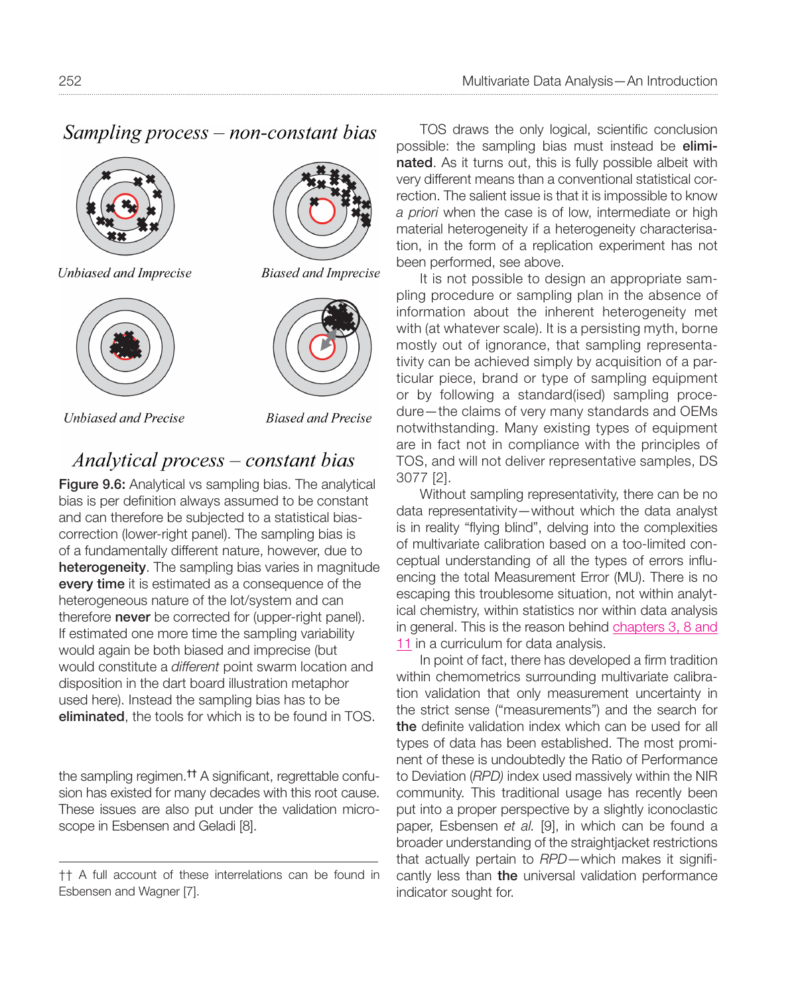# Sampling process – non-constant bias



Unbiased and Imprecise



**Unbiased and Precise** 



**Biased and Imprecise** 



**Biased and Precise** 

# Analytical process – constant bias

Figure 9.6: Analytical vs sampling bias. The analytical bias is per definition always assumed to be constant and can therefore be subjected to a statistical biascorrection (lower-right panel). The sampling bias is of a fundamentally different nature, however, due to heterogeneity. The sampling bias varies in magnitude every time it is estimated as a consequence of the heterogeneous nature of the lot/system and can therefore **never** be corrected for (upper-right panel). If estimated one more time the sampling variability would again be both biased and imprecise (but would constitute a *different* point swarm location and disposition in the dart board illustration metaphor used here). Instead the sampling bias has to be eliminated, the tools for which is to be found in TOS.

the sampling regimen.†† A significant, regrettable confusion has existed for many decades with this root cause. These issues are also put under the validation microscope in Esbensen and Geladi [8].

TOS draws the only logical, scientific conclusion possible: the sampling bias must instead be eliminated. As it turns out, this is fully possible albeit with very different means than a conventional statistical correction. The salient issue is that it is impossible to know *a priori* when the case is of low, intermediate or high material heterogeneity if a heterogeneity characterisation, in the form of a replication experiment has not been performed, see above.

It is not possible to design an appropriate sampling procedure or sampling plan in the absence of information about the inherent heterogeneity met with (at whatever scale). It is a persisting myth, borne mostly out of ignorance, that sampling representativity can be achieved simply by acquisition of a particular piece, brand or type of sampling equipment or by following a standard(ised) sampling procedure—the claims of very many standards and OEMs notwithstanding. Many existing types of equipment are in fact not in compliance with the principles of TOS, and will not deliver representative samples, DS 3077 [2].

Without sampling representativity, there can be no data representativity—without which the data analyst is in reality "flying blind", delving into the complexities of multivariate calibration based on a too-limited conceptual understanding of all the types of errors influencing the total Measurement Error (MU). There is no escaping this troublesome situation, not within analytical chemistry, within statistics nor within data analysis in general. This is the reason behind chapters 3, 8 and 11 in a curriculum for data analysis.

In point of fact, there has developed a firm tradition within chemometrics surrounding multivariate calibration validation that only measurement uncertainty in the strict sense ("measurements") and the search for the definite validation index which can be used for all types of data has been established. The most prominent of these is undoubtedly the Ratio of Performance to Deviation (*RPD)* index used massively within the NIR community. This traditional usage has recently been put into a proper perspective by a slightly iconoclastic paper, Esbensen *et al.* [9], in which can be found a broader understanding of the straightjacket restrictions that actually pertain to *RPD*—which makes it significantly less than the universal validation performance indicator sought for.

<sup>††</sup> A full account of these interrelations can be found in Esbensen and Wagner [7].